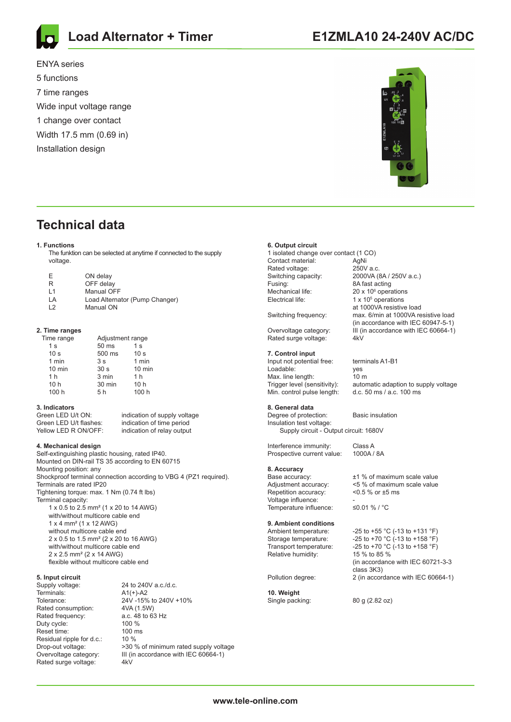

ENYA series

**Load Alternator + Timer**

5 functions 7 time ranges Wide input voltage range 1 change over contact Width 17.5 mm (0.69 in) Installation design



**E1ZMLA10 24-240V AC/DC**

# **Technical data**

### **1. Functions**

 The funktion can be selected at anytime if connected to the supply voltage.

| F | ON delay   |
|---|------------|
| R | OFF delay  |
|   | Manual OEE |

| 11             | Manual OFF                     |
|----------------|--------------------------------|
| I A            | Load Alternator (Pump Changer) |
| $\overline{2}$ | Manual ON                      |

#### **2. Time ranges**

| Time range      |                 | Adjustment range |  |
|-----------------|-----------------|------------------|--|
| 1 <sub>s</sub>  | 50 ms           | 1 <sub>s</sub>   |  |
| 10 <sub>s</sub> | 500 ms          | 10 <sub>s</sub>  |  |
| 1 min           | 3s              | 1 min            |  |
| $10$ min        | 30 <sub>s</sub> | 10 min           |  |
| 1 <sub>h</sub>  | 3 min           | 1 <sub>h</sub>   |  |
| 10 <sub>h</sub> | 30 min          | 10 <sub>h</sub>  |  |
| 100 h           | 5 h             | 100 h            |  |
|                 |                 |                  |  |

### **3. Indicators**

Green LED U/t ON: indication of supply voltage Green LED U/t flashes: indication of time period<br>
Yellow LED R ON/OFF: indication of relay output

### **4. Mechanical design**

Self-extinguishing plastic housing, rated IP40. Mounted on DIN-rail TS 35 according to EN 60715 Mounting position: any Shockproof terminal connection according to VBG 4 (PZ1 required). Terminals are rated IP20 Tightening torque: max. 1 Nm (0.74 ft lbs) Terminal capacity: 1 x 0.5 to 2.5 mm² (1 x 20 to 14 AWG) with/without multicore cable end 1 x 4 mm² (1 x 12 AWG) without multicore cable end 2 x 0.5 to 1.5 mm² (2 x 20 to 16 AWG) with/without multicore cable end 2 x 2.5 mm² (2 x 14 AWG) flexible without multicore cable end

indication of relay output

# **5. Input circuit**

Terminals: A1(+)-A2 Rated consumption: 4VA (1.5W) Rated frequency: <br>
Duty cycle: <br>  $100\%$ Duty cycle: Reset time: 100 ms Residual ripple for d.c.: 10 % Rated surge voltage: 4kV

24 to 240V a.c./d.c. Tolerance: 24V -15% to 240V +10% Drop-out voltage: >30 % of minimum rated supply voltage Overvoltage category: III (in accordance with IEC 60664-1)

### **6. Output circuit**

1 isolated change over contact (1 CO) Contact material: AgNi<br>Rated voltage: 250V a c Rated voltage:<br>Switching capacity: Fusing: 6 and 8A fast acting Mechanical life: Electrical life:

Rated surge voltage: 4kV

### **7. Control input**

Input not potential free: terminals A1-B1<br>I padable: ves Loadable:<br>
Max line length: (10 m Max. line length:<br>Trigger level (sensitivity): Min. control pulse length:

#### **8. General data**

Degree of protection: Basic insulation Insulation test voltage: Supply circuit - Output circuit: 1680V

Interference immunity: Class A Prospective current value: 1000A / 8A

# **8. Accuracy**

Repetition accuracy: <0.5 % or ±5 ms Voltage influence: Temperature influence: ≤0.01 % / °C

### **9. Ambient conditions**

Relative humidity:

#### **10. Weight** Single packing: 80 g (2.82 oz)

2000VA (8A / 250V a.c.)  $20 \times 10^6$  operations  $1 \times 10^5$  operations at 1000VA resistive load<br>Switching frequency: max. 6/min at 1000VA re max. 6/min at 1000VA resistive load (in accordance with IEC 60947-5-1)<br>Overvoltage category: III (in accordance with IEC 60664-1)  $\overline{\text{III}}$  (in accordance with IEC 60664-1)

automatic adaption to supply voltage d.c.  $50 \text{ ms}$  / a.c.  $100 \text{ ms}$ 

Base accuracy: ±1 % of maximum scale value

Adjustment accuracy: <5 % of maximum scale value

Ambient temperature:  $-25$  to +55 °C (-13 to +131 °F)<br>Storage temperature:  $-25$  to +70 °C (-13 to +158 °F) Storage temperature:  $-25$  to +70 °C (-13 to +158 °F)<br>Transport temperature:  $-25$  to +70 °C (-13 to +158 °F) -25 to +70 °C (-13 to +158 °F)<br>15 % to 85 % (in accordance with IEC 60721-3-3 class 3K3)<br>Pollution degree: 2 (in accor 2 (in accordance with IEC 60664-1)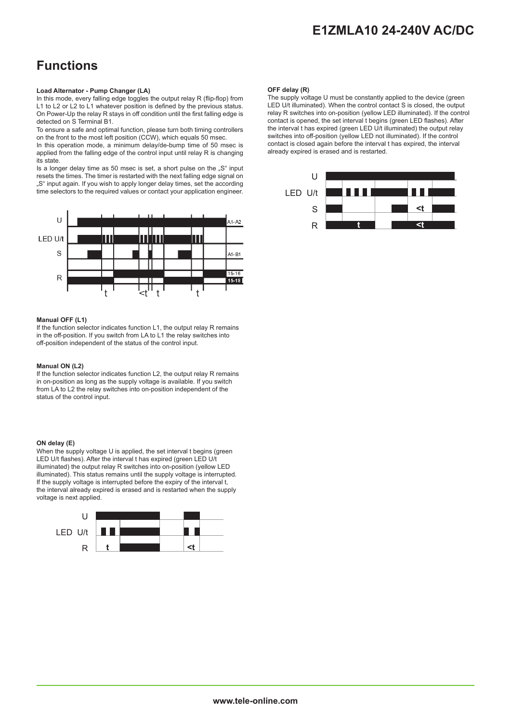# **E1ZMLA10 24-240V AC/DC**

# **Functions**

### **Load Alternator - Pump Changer (LA)**

In this mode, every falling edge toggles the output relay R (flip-flop) from L1 to L2 or L2 to L1 whatever position is defined by the previous status. On Power-Up the relay R stays in off condition until the first falling edge is detected on S Terminal B1.

To ensure a safe and optimal function, please turn both timing controllers on the front to the most left position (CCW), which equals 50 msec.

In this operation mode, a minimum delay/de-bump time of 50 msec is applied from the falling edge of the control input until relay R is changing its state.

Is a longer delay time as 50 msec is set, a short pulse on the "S" input resets the times. The timer is restarted with the next falling edge signal on "S" input again. If you wish to apply longer delay times, set the according time selectors to the required values or contact your application engineer.



### **Manual OFF (L1)**

If the function selector indicates function L1, the output relay R remains in the off-position. If you switch from LA to L1 the relay switches into off-position independent of the status of the control input.

### **Manual ON (L2)**

If the function selector indicates function L2, the output relay R remains in on-position as long as the supply voltage is available. If you switch from LA to L2 the relay switches into on-position independent of the status of the control input.

### **ON delay (E)**

When the supply voltage U is applied, the set interval t begins (green LED U/t flashes). After the interval t has expired (green LED U/t illuminated) the output relay R switches into on-position (yellow LED illuminated). This status remains until the supply voltage is interrupted. If the supply voltage is interrupted before the expiry of the interval t. the interval already expired is erased and is restarted when the supply voltage is next applied.



### **OFF delay (R)**

The supply voltage U must be constantly applied to the device (green LED U/t illuminated). When the control contact S is closed, the output relay R switches into on-position (yellow LED illuminated). If the control contact is opened, the set interval t begins (green LED flashes). After the interval t has expired (green LED U/t illuminated) the output relay switches into off-position (yellow LED not illuminated). If the control contact is closed again before the interval t has expired, the interval already expired is erased and is restarted.